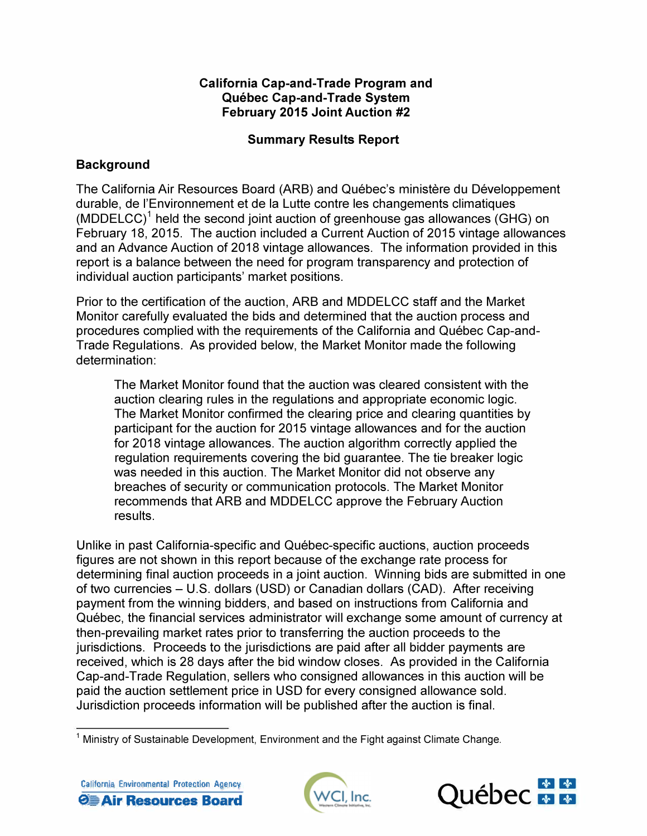### **California Cap-and-Trade Program and Quebec Cap-and-Trade System February 2015 Joint Auction #2**

# **Summary Results Report**

# **Background**

The California Air Resources Board (ARB) and Québec's ministère du Développement durable, de !'Environnement et de la Lutte contre les changements climatiques (MDDELCC)<sup>1</sup> held the second joint auction of greenhouse gas allowances (GHG) on February 18, 2015. The auction included a Current Auction of 2015 vintage allowances and an Advance Auction of 2018 vintage allowances. The information provided in this report is a balance between the need for program transparency and protection of individual auction participants' market positions.

Prior to the certification of the auction, ARB and MDDELCC staff and the Market Monitor carefully evaluated the bids and determined that the auction process and procedures complied with the requirements of the California and Québec Cap-and-Trade Regulations. As provided below, the Market Monitor made the following determination:

The Market Monitor found that the auction was cleared consistent with the auction clearing rules in the regulations and appropriate economic logic. The Market Monitor confirmed the clearing price and clearing quantities by participant for the auction for 2015 vintage allowances and for the auction for 2018 vintage allowances. The auction algorithm correctly applied the regulation requirements covering the bid guarantee. The tie breaker logic was needed in this auction. The Market Monitor did not observe any breaches of security or communication protocols. The Market Monitor recommends that ARB and MDDELCC approve the February Auction results.

Unlike in past California-specific and Quebec-specific auctions, auction proceeds figures are not shown in this report because of the exchange rate process for determining final auction proceeds in a joint auction. Winning bids are submitted in one of two currencies - U.S. dollars (USO) or Canadian dollars (CAD). After receiving payment from the winning bidders, and based on instructions from California and Quebec, the financial services administrator will exchange some amount of currency at then-prevailing market rates prior to transferring the auction proceeds to the jurisdictions. Proceeds to the jurisdictions are paid after all bidder payments are received, which is 28 days after the bid window closes. As provided in the California Cap-and-Trade Regulation, sellers who consigned allowances in this auction will be paid the auction settlement price in USO for every consigned allowance sold. Jurisdiction proceeds information will be published after the auction is final.





 $1$  Ministry of Sustainable Development, Environment and the Fight against Climate Change.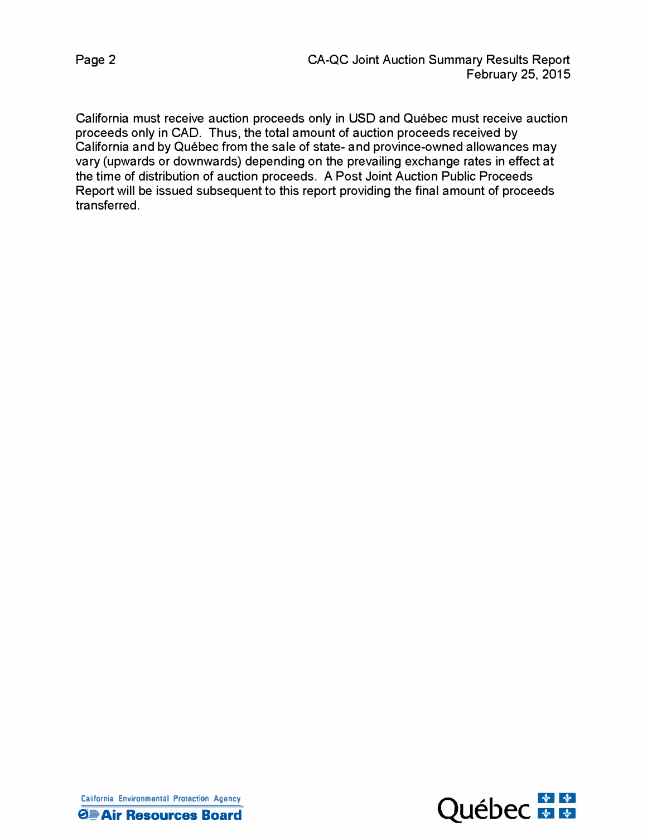California must receive auction proceeds only in USO and Quebec must receive auction proceeds only in CAD. Thus, the total amount of auction proceeds received by California and by Quebec from the sale of state- and province-owned allowances may vary (upwards or downwards) depending on the prevailing exchange rates in effect at the time of distribution of auction proceeds. A Post Joint Auction Public Proceeds Report will be issued subsequent to this report providing the final amount of proceeds transferred.

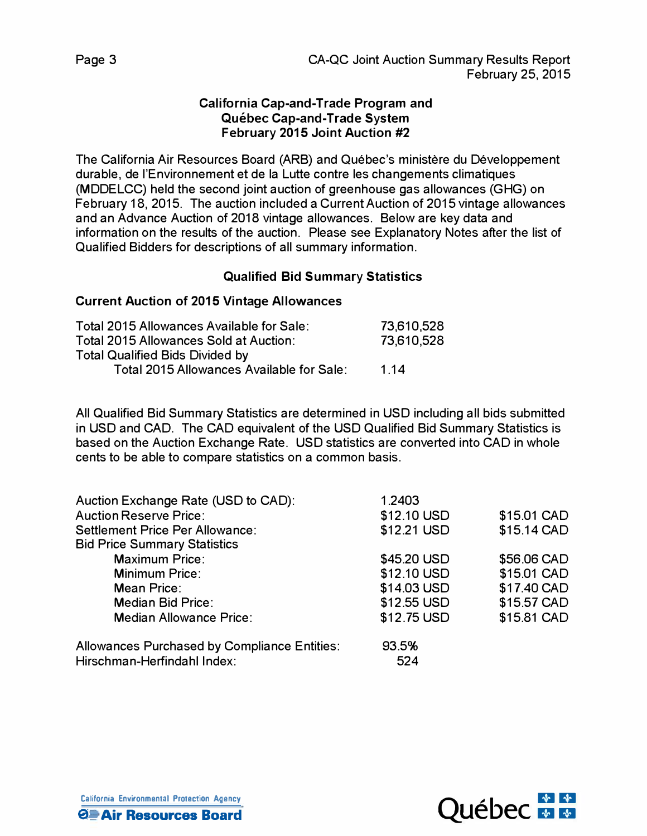### **California Cap-and-Trade Program and Quebec Cap-and-Trade System February 2015 Joint Auction #2**

The California Air Resources Board (ARB) and Quebec's ministere du Developpement durable, de !'Environnement et de la Lutte contre les changements climatiques (MDDELCC) held the second joint auction of greenhouse gas allowances (GHG) on February 18, 2015. The auction included a Current Auction of 2015 vintage allowances and an Advance Auction of 2018 vintage allowances. Below are key data and information on the results of the auction. Please see Explanatory Notes after the list of Qualified Bidders for descriptions of all summary information.

## **Qualified Bid Summary Statistics**

### **Current Auction of 2015 Vintage Allowances**

| Total 2015 Allowances Available for Sale: | 73,610,528 |
|-------------------------------------------|------------|
| Total 2015 Allowances Sold at Auction:    | 73,610,528 |
| <b>Total Qualified Bids Divided by</b>    |            |
| Total 2015 Allowances Available for Sale: | 1 14       |

All Qualified Bid Summary Statistics are determined in USO including all bids submitted in USO and CAD. The CAD equivalent of the USO Qualified Bid Summary Statistics is based on the Auction Exchange Rate. USO statistics are converted into CAD in whole cents to be able to compare statistics on a common basis.

| Auction Exchange Rate (USD to CAD):          | 1.2403      |             |
|----------------------------------------------|-------------|-------------|
| <b>Auction Reserve Price:</b>                | \$12.10 USD | \$15.01 CAD |
| Settlement Price Per Allowance:              | \$12.21 USD | \$15.14 CAD |
| <b>Bid Price Summary Statistics</b>          |             |             |
| <b>Maximum Price:</b>                        | \$45.20 USD | \$56.06 CAD |
| <b>Minimum Price:</b>                        | \$12.10 USD | \$15.01 CAD |
| Mean Price:                                  | \$14.03 USD | \$17.40 CAD |
| <b>Median Bid Price:</b>                     | \$12.55 USD | \$15.57 CAD |
| <b>Median Allowance Price:</b>               | \$12.75 USD | \$15.81 CAD |
| Allowances Purchased by Compliance Entities: | 93.5%       |             |
| Hirschman-Herfindahl Index:                  | 524         |             |

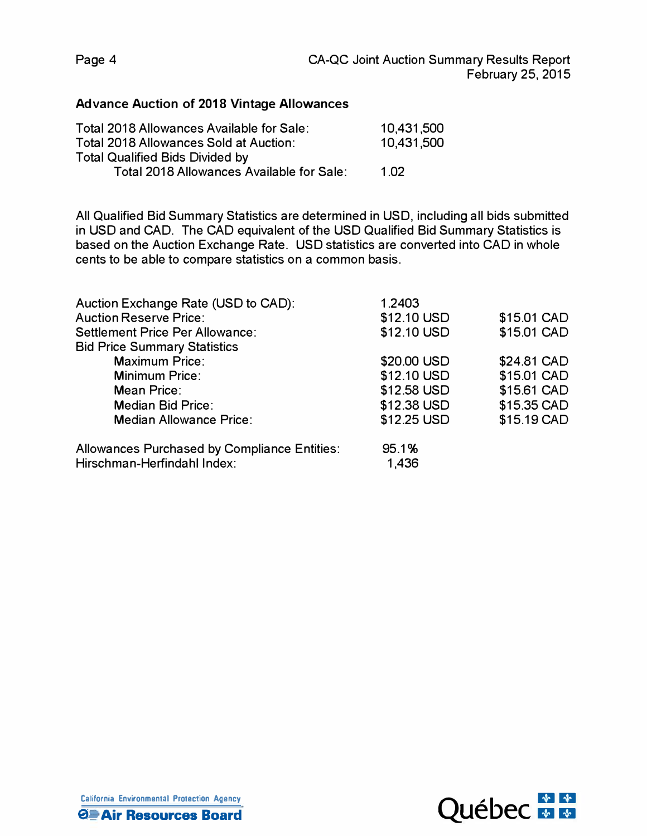#### **Advance Auction of 2018 Vintage Allowances**

| Total 2018 Allowances Available for Sale: | 10,431,500 |
|-------------------------------------------|------------|
| Total 2018 Allowances Sold at Auction:    | 10,431,500 |
| <b>Total Qualified Bids Divided by</b>    |            |
| Total 2018 Allowances Available for Sale: | 1 N 2      |

All Qualified Bid Summary Statistics are determined in USO, including all bids submitted in USO and CAD. The CAD equivalent of the USO Qualified Bid Summary Statistics is based on the Auction Exchange Rate. USO statistics are converted into CAD in whole cents to be able to compare statistics on a common basis.

| Auction Exchange Rate (USD to CAD):          | 1.2403      |             |
|----------------------------------------------|-------------|-------------|
| <b>Auction Reserve Price:</b>                | \$12.10 USD | \$15.01 CAD |
| Settlement Price Per Allowance:              | \$12.10 USD | \$15.01 CAD |
| <b>Bid Price Summary Statistics</b>          |             |             |
| <b>Maximum Price:</b>                        | \$20.00 USD | \$24.81 CAD |
| <b>Minimum Price:</b>                        | \$12.10 USD | \$15.01 CAD |
| Mean Price:                                  | \$12.58 USD | \$15.61 CAD |
| <b>Median Bid Price:</b>                     | \$12.38 USD | \$15.35 CAD |
| <b>Median Allowance Price:</b>               | \$12.25 USD | \$15.19 CAD |
| Allowances Purchased by Compliance Entities: | 95.1%       |             |
| Hirschman-Herfindahl Index:                  | 1,436       |             |



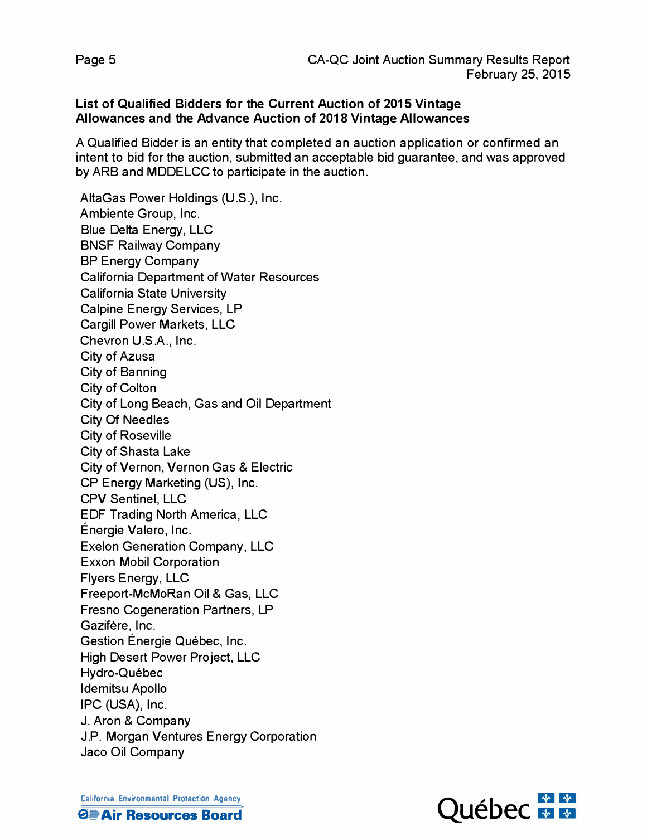#### **List of Qualified Bidders for the Current Auction of 2015 Vintage Allowances and the Advance Auction of 2018 Vintage Allowances**

A Qualified Bidder is an entity that completed an auction application or confirmed an intent to bid for the auction, submitted an acceptable bid guarantee, and was approved by ARB and MDDELCC to participate in the auction.

AltaGas Power Holdings (U.S.), Inc. Ambiente Group, Inc. Blue Delta Energy, LLC BNSF Railway Company BP Energy Company California Department of Water Resources California State University Calpine Energy Services, LP Cargill Power Markets, LLC Chevron U.S.A., Inc. City of Azusa City of Banning City of Colton City of Long Beach, Gas and Oil Department City Of Needles City of Roseville City of Shasta Lake City of Vernon, Vernon Gas & Electric CP Energy Marketing (US), Inc. CPV Sentinel, LLC EDF Trading North America, LLC Energie Valero, Inc. Exelon Generation Company, LLC Exxon Mobil Corporation Flyers Energy, LLC Freeport-McMoRan Oil & Gas, LLC Fresno Cogeneration Partners, LP Gazifère, Inc. Gestion Energie Quebec, Inc. High Desert Power Project, LLC Hydro-Québec Idemitsu Apollo IPC (USA), Inc. J. Aron & Company J.P. Morgan Ventures Energy Corporation Jaco Oil Company

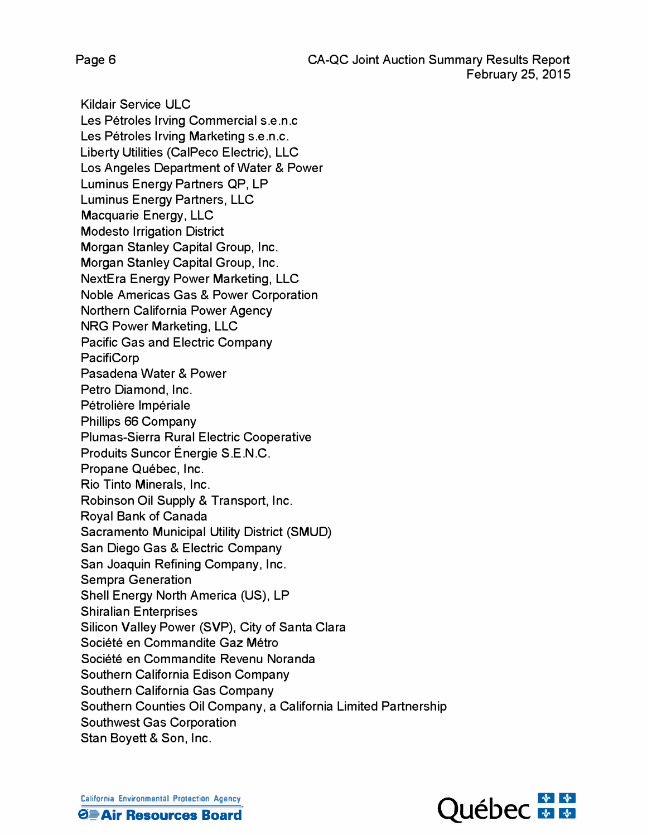Page 6

**Kildair Service ULC** Les Pétroles Irving Commercial s.e.n.c Les Pétroles Irving Marketing s.e.n.c. Liberty Utilities (CalPeco Electric), LLC Los Angeles Department of Water & Power Luminus Energy Partners QP, LP Luminus Energy Partners, LLC Macquarie Energy, LLC **Modesto Irrigation District** Morgan Stanley Capital Group, Inc. Morgan Stanley Capital Group, Inc. **NextEra Energy Power Marketing, LLC Noble Americas Gas & Power Corporation** Northern California Power Agency **NRG Power Marketing, LLC Pacific Gas and Electric Company PacifiCorp** Pasadena Water & Power Petro Diamond, Inc. Pétrolière Impériale Phillips 66 Company Plumas-Sierra Rural Electric Cooperative Produits Suncor Énergie S.E.N.C. Propane Québec, Inc. Rio Tinto Minerals, Inc. Robinson Oil Supply & Transport, Inc. Royal Bank of Canada Sacramento Municipal Utility District (SMUD) San Diego Gas & Electric Company San Joaquin Refining Company, Inc. **Sempra Generation** Shell Energy North America (US), LP **Shiralian Enterprises** Silicon Valley Power (SVP), City of Santa Clara Société en Commandite Gaz Métro Société en Commandite Revenu Noranda Southern California Edison Company Southern California Gas Company Southern Counties Oil Company, a California Limited Partnership **Southwest Gas Corporation** Stan Boyett & Son, Inc.

**California Environmental Protection Agency QD** Air Resources Board

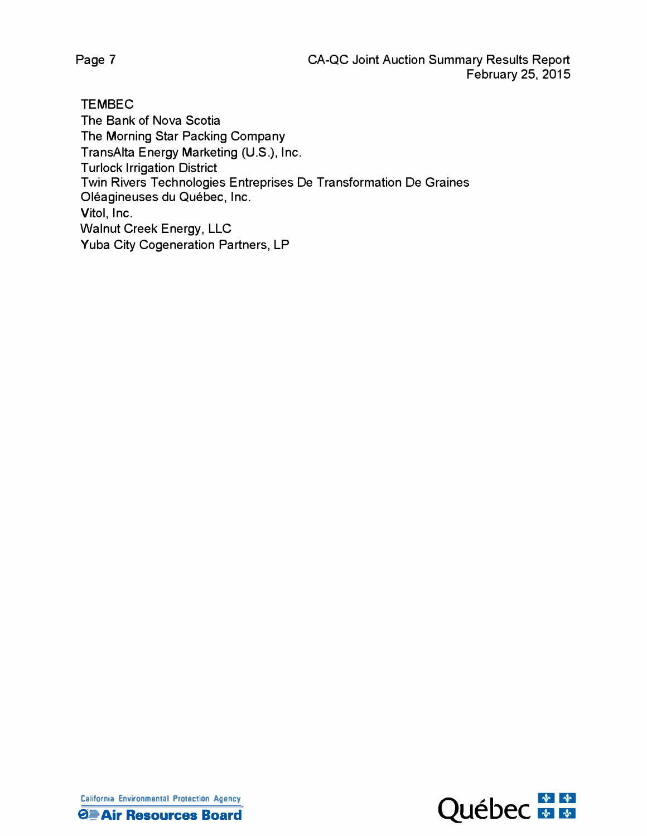Page 7

**TEMBEC** The Bank of Nova Scotia The Morning Star Packing Company TransAlta Energy Marketing (U.S.), Inc. **Turlock Irrigation District** Twin Rivers Technologies Entreprises De Transformation De Graines Oléagineuses du Québec, Inc. Vitol, Inc. **Walnut Creek Energy, LLC** Yuba City Cogeneration Partners, LP



**California Environmental Protection Agency QD** Air Resources Board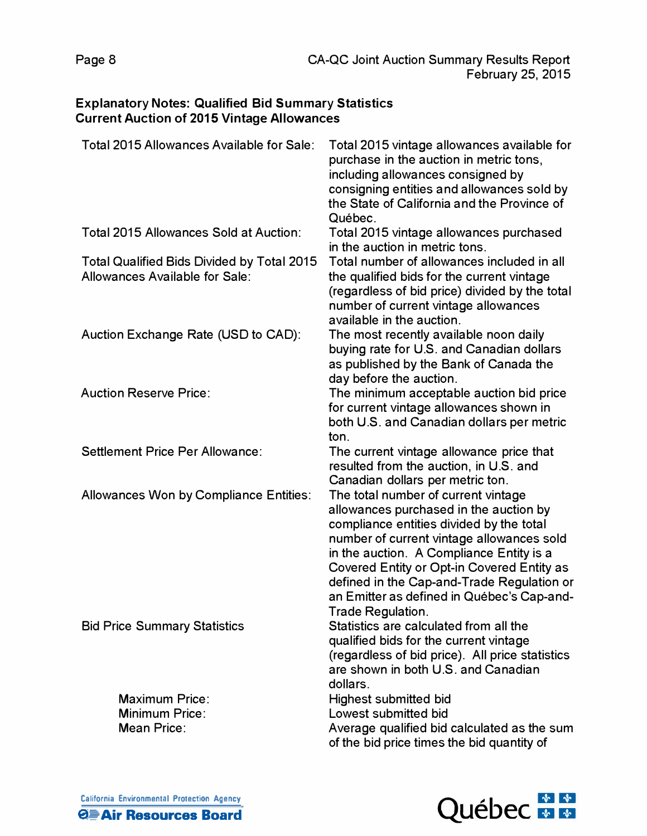## **Explanatory Notes: Qualified Bid Summary Statistics Current Auction of 2015 Vintage Allowances**

| Total 2015 Allowances Available for Sale:                                           | Total 2015 vintage allowances available for<br>purchase in the auction in metric tons,<br>including allowances consigned by<br>consigning entities and allowances sold by<br>the State of California and the Province of<br>Québec.                                                                                                                          |
|-------------------------------------------------------------------------------------|--------------------------------------------------------------------------------------------------------------------------------------------------------------------------------------------------------------------------------------------------------------------------------------------------------------------------------------------------------------|
| Total 2015 Allowances Sold at Auction:                                              | Total 2015 vintage allowances purchased<br>in the auction in metric tons.                                                                                                                                                                                                                                                                                    |
| <b>Total Qualified Bids Divided by Total 2015</b><br>Allowances Available for Sale: | Total number of allowances included in all<br>the qualified bids for the current vintage<br>(regardless of bid price) divided by the total<br>number of current vintage allowances<br>available in the auction.                                                                                                                                              |
| Auction Exchange Rate (USD to CAD):                                                 | The most recently available noon daily<br>buying rate for U.S. and Canadian dollars<br>as published by the Bank of Canada the<br>day before the auction.                                                                                                                                                                                                     |
| <b>Auction Reserve Price:</b>                                                       | The minimum acceptable auction bid price<br>for current vintage allowances shown in<br>both U.S. and Canadian dollars per metric<br>ton.                                                                                                                                                                                                                     |
| Settlement Price Per Allowance:                                                     | The current vintage allowance price that<br>resulted from the auction, in U.S. and<br>Canadian dollars per metric ton.                                                                                                                                                                                                                                       |
| <b>Allowances Won by Compliance Entities:</b>                                       | The total number of current vintage<br>allowances purchased in the auction by<br>compliance entities divided by the total<br>number of current vintage allowances sold<br>in the auction. A Compliance Entity is a<br>Covered Entity or Opt-in Covered Entity as<br>defined in the Cap-and-Trade Regulation or<br>an Emitter as defined in Québec's Cap-and- |
| <b>Bid Price Summary Statistics</b>                                                 | Trade Regulation.<br>Statistics are calculated from all the<br>qualified bids for the current vintage<br>(regardless of bid price). All price statistics<br>are shown in both U.S. and Canadian<br>dollars.                                                                                                                                                  |
| <b>Maximum Price:</b><br><b>Minimum Price:</b><br>Mean Price:                       | <b>Highest submitted bid</b><br>Lowest submitted bid<br>Average qualified bid calculated as the sum<br>of the bid price times the bid quantity of                                                                                                                                                                                                            |